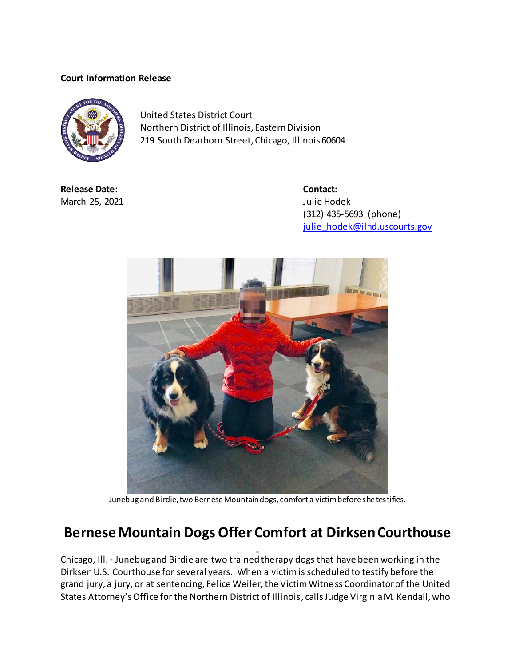## **Court Information Release**



United States District Court Northern District of Illinois, Eastern Division 219 South Dearborn Street, Chicago, Illinois 60604

**Release Date: Contact:** March 25, 2021 **Julie Hodek** 

(312) 435-5693 (phone) [julie\\_hodek@ilnd.uscourts.gov](mailto:julie_hodek@ilnd.uscourts.gov)



Junebug and Birdie, two Bernese Mountain dogs, comfort a victim before she testifies.

## **Bernese Mountain Dogs Offer Comfort at Dirksen Courthouse**

Chicago, Ill. - Junebug and Birdie are two trained therapy dogs that have been working in the Dirksen U.S. Courthouse for several years. When a victim is scheduled to testify before the grand jury, a jury, or at sentencing, Felice Weiler, the Victim Witness Coordinator of the United States Attorney's Office for the Northern District of Illinois, calls Judge Virginia M. Kendall, who